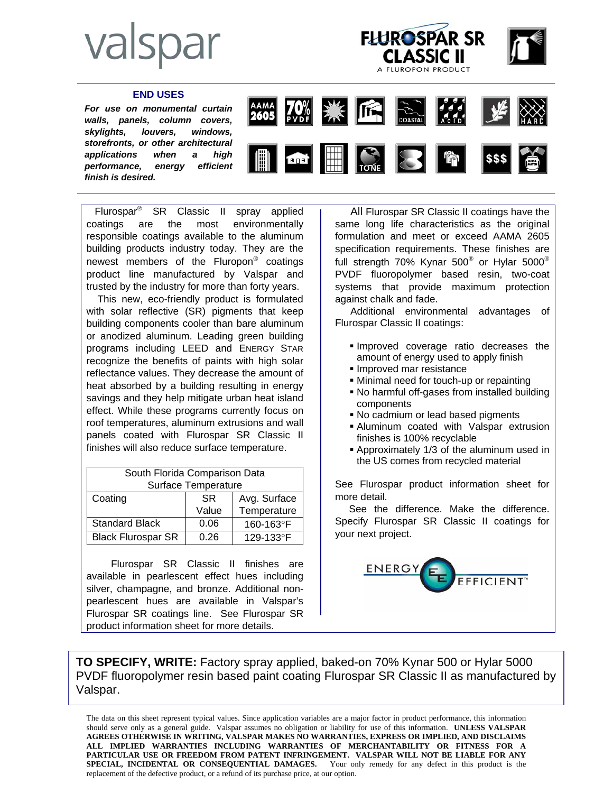## valspar



## **END USES**

*For use on monumental curtain walls, panels, column covers, skylights, louvers, windows, storefronts, or other architectural applications when a high performance, energy efficient finish is desired.* 



 Flurospar® SR Classic II spray applied coatings are the most environmentally responsible coatings available to the aluminum building products industry today. They are the newest members of the Fluropon® coatings product line manufactured by Valspar and trusted by the industry for more than forty years.

 This new, eco-friendly product is formulated with solar reflective (SR) pigments that keep building components cooler than bare aluminum or anodized aluminum. Leading green building programs including LEED and ENERGY STAR recognize the benefits of paints with high solar reflectance values. They decrease the amount of heat absorbed by a building resulting in energy savings and they help mitigate urban heat island effect. While these programs currently focus on roof temperatures, aluminum extrusions and wall panels coated with Flurospar SR Classic II finishes will also reduce surface temperature.

| South Florida Comparison Data |           |              |
|-------------------------------|-----------|--------------|
| Surface Temperature           |           |              |
| Coating                       | <b>SR</b> | Avg. Surface |
|                               | Value     | Temperature  |
| <b>Standard Black</b>         | 0.06      | 160-163°F    |
| <b>Black Flurospar SR</b>     | በ 26      | 129-133°F    |

 Flurospar SR Classic II finishes are available in pearlescent effect hues including silver, champagne, and bronze. Additional nonpearlescent hues are available in Valspar's Flurospar SR coatings line. See Flurospar SR product information sheet for more details.

 All Flurospar SR Classic II coatings have the same long life characteristics as the original formulation and meet or exceed AAMA 2605 specification requirements. These finishes are full strength 70% Kynar 500<sup>®</sup> or Hylar 5000<sup>®</sup> PVDF fluoropolymer based resin, two-coat systems that provide maximum protection against chalk and fade.

 Additional environmental advantages of Flurospar Classic II coatings:

- Improved coverage ratio decreases the amount of energy used to apply finish
- **Improved mar resistance**
- Minimal need for touch-up or repainting
- No harmful off-gases from installed building components
- No cadmium or lead based pigments
- Aluminum coated with Valspar extrusion finishes is 100% recyclable
- Approximately 1/3 of the aluminum used in the US comes from recycled material

See Flurospar product information sheet for more detail.

 See the difference. Make the difference. Specify Flurospar SR Classic II coatings for your next project.



**TO SPECIFY, WRITE:** Factory spray applied, baked-on 70% Kynar 500 or Hylar 5000 PVDF fluoropolymer resin based paint coating Flurospar SR Classic II as manufactured by Valspar.

The data on this sheet represent typical values. Since application variables are a major factor in product performance, this information should serve only as a general guide. Valspar assumes no obligation or liability for use of this information. **UNLESS VALSPAR AGREES OTHERWISE IN WRITING, VALSPAR MAKES NO WARRANTIES, EXPRESS OR IMPLIED, AND DISCLAIMS ALL IMPLIED WARRANTIES INCLUDING WARRANTIES OF MERCHANTABILITY OR FITNESS FOR A PARTICULAR USE OR FREEDOM FROM PATENT INFRINGEMENT. VALSPAR WILL NOT BE LIABLE FOR ANY SPECIAL, INCIDENTAL OR CONSEQUENTIAL DAMAGES.** Your only remedy for any defect in this product is the replacement of the defective product, or a refund of its purchase price, at our option.